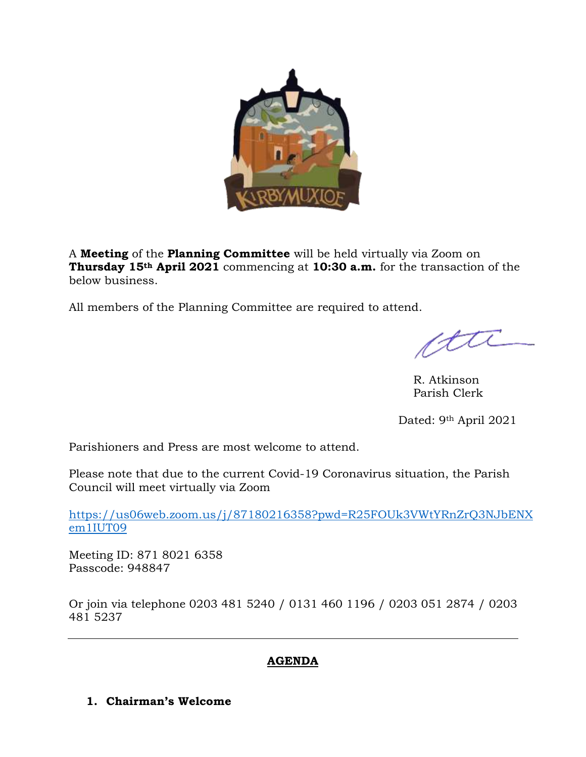

A **Meeting** of the **Planning Committee** will be held virtually via Zoom on **Thursday 15th April 2021** commencing at **10:30 a.m.** for the transaction of the below business.

All members of the Planning Committee are required to attend.

ette

R. Atkinson Parish Clerk

Dated: 9<sup>th</sup> April 2021

Parishioners and Press are most welcome to attend.

Please note that due to the current Covid-19 Coronavirus situation, the Parish Council will meet virtually via Zoom

[https://us06web.zoom.us/j/87180216358?pwd=R25FOUk3VWtYRnZrQ3NJbENX](https://us06web.zoom.us/j/87180216358?pwd=R25FOUk3VWtYRnZrQ3NJbENXem1IUT09) [em1IUT09](https://us06web.zoom.us/j/87180216358?pwd=R25FOUk3VWtYRnZrQ3NJbENXem1IUT09)

Meeting ID: 871 8021 6358 Passcode: 948847

Or join via telephone 0203 481 5240 / 0131 460 1196 / 0203 051 2874 / 0203 481 5237

# **AGENDA**

**1. Chairman's Welcome**